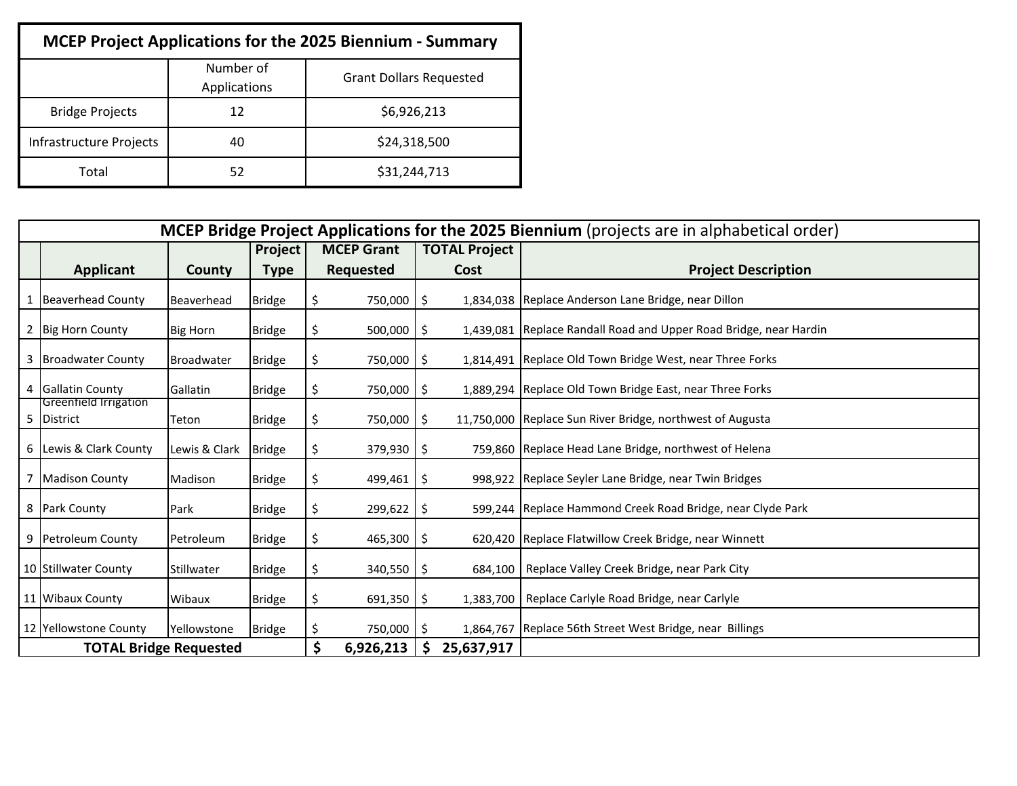| <b>MCEP Project Applications for the 2025 Biennium - Summary</b> |                           |                                |  |  |  |  |  |  |
|------------------------------------------------------------------|---------------------------|--------------------------------|--|--|--|--|--|--|
|                                                                  | Number of<br>Applications | <b>Grant Dollars Requested</b> |  |  |  |  |  |  |
| <b>Bridge Projects</b>                                           | 12                        | \$6,926,213                    |  |  |  |  |  |  |
| Infrastructure Projects                                          | 40                        | \$24,318,500                   |  |  |  |  |  |  |
| Total                                                            | 52                        | \$31,244,713                   |  |  |  |  |  |  |

|   | <b>MCEP Bridge Project Applications for the 2025 Biennium</b> (projects are in alphabetical order) |                      |               |                       |                      |            |                                                                   |  |  |  |  |  |
|---|----------------------------------------------------------------------------------------------------|----------------------|---------------|-----------------------|----------------------|------------|-------------------------------------------------------------------|--|--|--|--|--|
|   |                                                                                                    |                      | Project       | <b>MCEP Grant</b>     | <b>TOTAL Project</b> |            |                                                                   |  |  |  |  |  |
|   | <b>Applicant</b>                                                                                   | County               | <b>Type</b>   | <b>Requested</b>      |                      | Cost       | <b>Project Description</b>                                        |  |  |  |  |  |
|   | <b>Beaverhead County</b>                                                                           | Beaverhead           | <b>Bridge</b> | 750,000 \$            |                      |            | 1,834,038   Replace Anderson Lane Bridge, near Dillon             |  |  |  |  |  |
|   | 2 Big Horn County                                                                                  | <b>Big Horn</b>      | <b>Bridge</b> | $500,000$   \$<br>Ś   |                      |            | 1,439,081 Replace Randall Road and Upper Road Bridge, near Hardin |  |  |  |  |  |
|   | 3 Broadwater County                                                                                | <b>Broadwater</b>    | <b>Bridge</b> | 750,000   \$<br>\$    |                      |            | 1,814,491 Replace Old Town Bridge West, near Three Forks          |  |  |  |  |  |
| 4 | <b>Gallatin County</b>                                                                             | Gallatin             | <b>Bridge</b> | \$<br>750,000 \$      |                      |            | 1,889,294 Replace Old Town Bridge East, near Three Forks          |  |  |  |  |  |
| 5 | Greenfield Irrigation<br>District                                                                  | Teton                | <b>Bridge</b> | 750,000 \$<br>\$      |                      |            | 11,750,000   Replace Sun River Bridge, northwest of Augusta       |  |  |  |  |  |
|   | 6 Lewis & Clark County                                                                             | Lewis & Clark Bridge |               | $379,930$   \$<br>S.  |                      |            | 759,860 Replace Head Lane Bridge, northwest of Helena             |  |  |  |  |  |
| 7 | <b>Madison County</b>                                                                              | Madison              | <b>Bridge</b> | \$.<br>$499,461$   \$ |                      |            | 998,922 Replace Seyler Lane Bridge, near Twin Bridges             |  |  |  |  |  |
|   | 8 Park County                                                                                      | Park                 | <b>Bridge</b> | $299,622$ \$          |                      |            | 599,244 Replace Hammond Creek Road Bridge, near Clyde Park        |  |  |  |  |  |
|   | 9 Petroleum County                                                                                 | Petroleum            | <b>Bridge</b> | 465,300 \$<br>Ś       |                      |            | 620,420 Replace Flatwillow Creek Bridge, near Winnett             |  |  |  |  |  |
|   | 10 Stillwater County                                                                               | Stillwater           | <b>Bridge</b> | $340,550$   \$<br>S   |                      |            | 684,100   Replace Valley Creek Bridge, near Park City             |  |  |  |  |  |
|   | 11 Wibaux County                                                                                   | Wibaux               | <b>Bridge</b> | $691,350$ \$          |                      |            | 1,383,700   Replace Carlyle Road Bridge, near Carlyle             |  |  |  |  |  |
|   | 12 Yellowstone County                                                                              | Yellowstone          | <b>Bridge</b> | 750,000 \$<br>S       |                      |            | 1,864,767 Replace 56th Street West Bridge, near Billings          |  |  |  |  |  |
|   | <b>TOTAL Bridge Requested</b>                                                                      |                      |               | \$<br>6,926,213       | -S                   | 25,637,917 |                                                                   |  |  |  |  |  |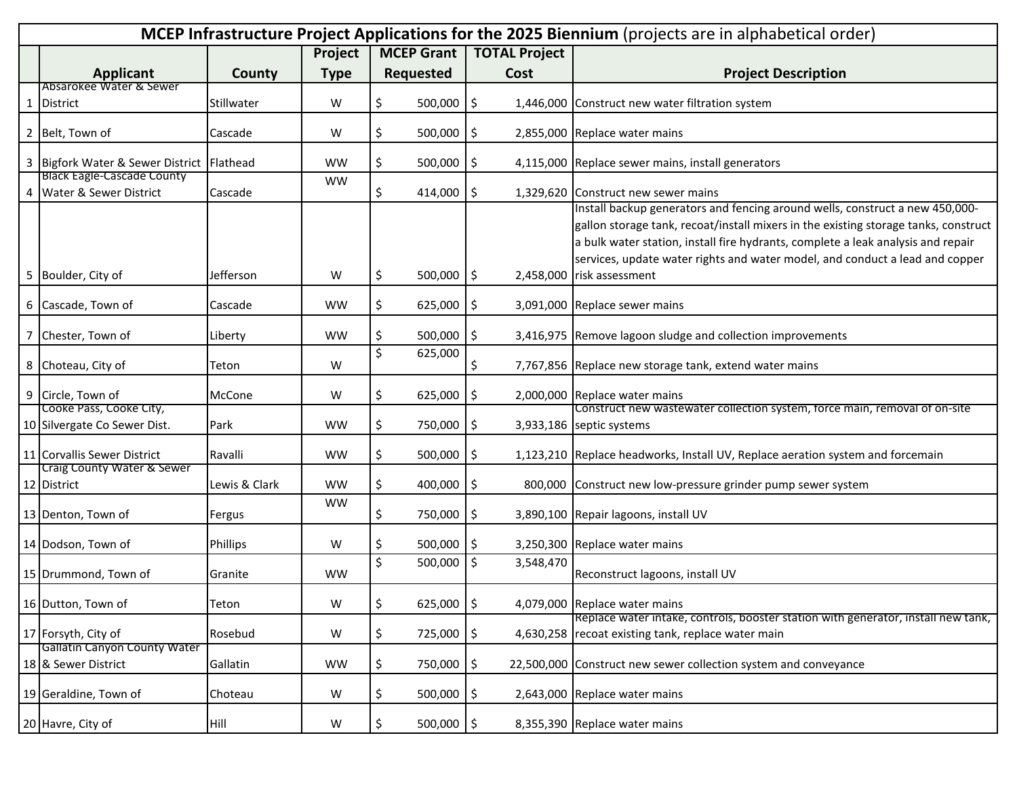|   | MCEP Infrastructure Project Applications for the 2025 Biennium (projects are in alphabetical order) |               |             |     |                   |                      |           |                                                                                                                                                                                                                                                                                                                                         |  |  |
|---|-----------------------------------------------------------------------------------------------------|---------------|-------------|-----|-------------------|----------------------|-----------|-----------------------------------------------------------------------------------------------------------------------------------------------------------------------------------------------------------------------------------------------------------------------------------------------------------------------------------------|--|--|
|   |                                                                                                     |               | Project     |     | <b>MCEP Grant</b> | <b>TOTAL Project</b> |           |                                                                                                                                                                                                                                                                                                                                         |  |  |
|   | <b>Applicant</b>                                                                                    | County        | <b>Type</b> |     | <b>Requested</b>  |                      | Cost      | <b>Project Description</b>                                                                                                                                                                                                                                                                                                              |  |  |
| 1 | Absarokee Water & Sewer<br><b>District</b>                                                          | Stillwater    | W           | \$  | 500,000           | \$                   |           | 1,446,000 Construct new water filtration system                                                                                                                                                                                                                                                                                         |  |  |
|   | 2 Belt, Town of                                                                                     | Cascade       | W           | \$  | 500,000           | \$                   |           | 2,855,000 Replace water mains                                                                                                                                                                                                                                                                                                           |  |  |
|   | 3 Bigfork Water & Sewer District Flathead                                                           |               | <b>WW</b>   | \$  | 500,000           | \$                   |           | 4,115,000 Replace sewer mains, install generators                                                                                                                                                                                                                                                                                       |  |  |
|   | <b>Black Eagle-Cascade County</b><br>4 Water & Sewer District                                       | Cascade       | <b>WW</b>   | \$  | 414,000           | \$                   |           | 1,329,620 Construct new sewer mains                                                                                                                                                                                                                                                                                                     |  |  |
|   |                                                                                                     |               |             |     |                   |                      |           | Install backup generators and fencing around wells, construct a new 450,000-<br>gallon storage tank, recoat/install mixers in the existing storage tanks, construct<br>a bulk water station, install fire hydrants, complete a leak analysis and repair<br>services, update water rights and water model, and conduct a lead and copper |  |  |
|   | 5 Boulder, City of                                                                                  | Jefferson     | W           | \$  | $500,000$ \$      |                      |           | 2,458,000 risk assessment                                                                                                                                                                                                                                                                                                               |  |  |
|   | 6 Cascade, Town of                                                                                  | Cascade       | <b>WW</b>   | \$  | 625,000           | \$                   |           | 3,091,000 Replace sewer mains                                                                                                                                                                                                                                                                                                           |  |  |
|   | 7 Chester, Town of                                                                                  | Liberty       | <b>WW</b>   | \$  | 500,000           | \$                   |           | 3,416,975 Remove lagoon sludge and collection improvements                                                                                                                                                                                                                                                                              |  |  |
|   | 8 Choteau, City of                                                                                  | Teton         | W           | \$  | 625,000           | \$                   |           | 7,767,856 Replace new storage tank, extend water mains                                                                                                                                                                                                                                                                                  |  |  |
|   | 9 Circle, Town of                                                                                   | McCone        | W           | \$  | 625,000           | \$                   |           | 2,000,000 Replace water mains                                                                                                                                                                                                                                                                                                           |  |  |
|   | Cooke Pass, Cooke City,<br>10 Silvergate Co Sewer Dist.                                             | Park          | <b>WW</b>   | \$  | 750,000           | \$                   |           | Construct new wastewater collection system, force main, removal of on-site<br>3,933,186 septic systems                                                                                                                                                                                                                                  |  |  |
|   | 11 Corvallis Sewer District                                                                         | Ravalli       | <b>WW</b>   | \$  | 500,000           | \$                   |           | 1,123,210 Replace headworks, Install UV, Replace aeration system and forcemain                                                                                                                                                                                                                                                          |  |  |
|   | Craig County Water & Sewer<br>12 District                                                           | Lewis & Clark | <b>WW</b>   | \$  | 400,000           | \$                   |           | 800,000 Construct new low-pressure grinder pump sewer system                                                                                                                                                                                                                                                                            |  |  |
|   | 13 Denton, Town of                                                                                  | Fergus        | <b>WW</b>   | \$  | 750,000           | \$                   |           | 3,890,100 Repair lagoons, install UV                                                                                                                                                                                                                                                                                                    |  |  |
|   | 14 Dodson, Town of                                                                                  | Phillips      | W           | \$  | 500,000           | \$                   |           | 3,250,300 Replace water mains                                                                                                                                                                                                                                                                                                           |  |  |
|   | 15 Drummond, Town of                                                                                | Granite       | <b>WW</b>   | \$  | 500,000           | \$                   | 3,548,470 | Reconstruct lagoons, install UV                                                                                                                                                                                                                                                                                                         |  |  |
|   | 16 Dutton, Town of                                                                                  | Teton         | W           | \$  | $625,000$ \$      |                      |           | 4,079,000 Replace water mains<br>Replace water intake, controls, booster station with generator, install new tank,                                                                                                                                                                                                                      |  |  |
|   | 17 Forsyth, City of                                                                                 | Rosebud       | W           | \$. | 725,000           | $\sqrt{5}$           |           | 4,630,258 recoat existing tank, replace water main                                                                                                                                                                                                                                                                                      |  |  |
|   | Gallatin Canyon County Water<br>18 & Sewer District                                                 | Gallatin      | <b>WW</b>   | \$. | 750,000           | \$                   |           | 22,500,000 Construct new sewer collection system and conveyance                                                                                                                                                                                                                                                                         |  |  |
|   | 19 Geraldine, Town of                                                                               | Choteau       | W           | Ş.  | 500,000           | -Ş                   |           | 2,643,000 Replace water mains                                                                                                                                                                                                                                                                                                           |  |  |
|   | 20 Havre, City of                                                                                   | Hill          | W           | \$  | 500,000           | $\sqrt{5}$           |           | 8,355,390 Replace water mains                                                                                                                                                                                                                                                                                                           |  |  |